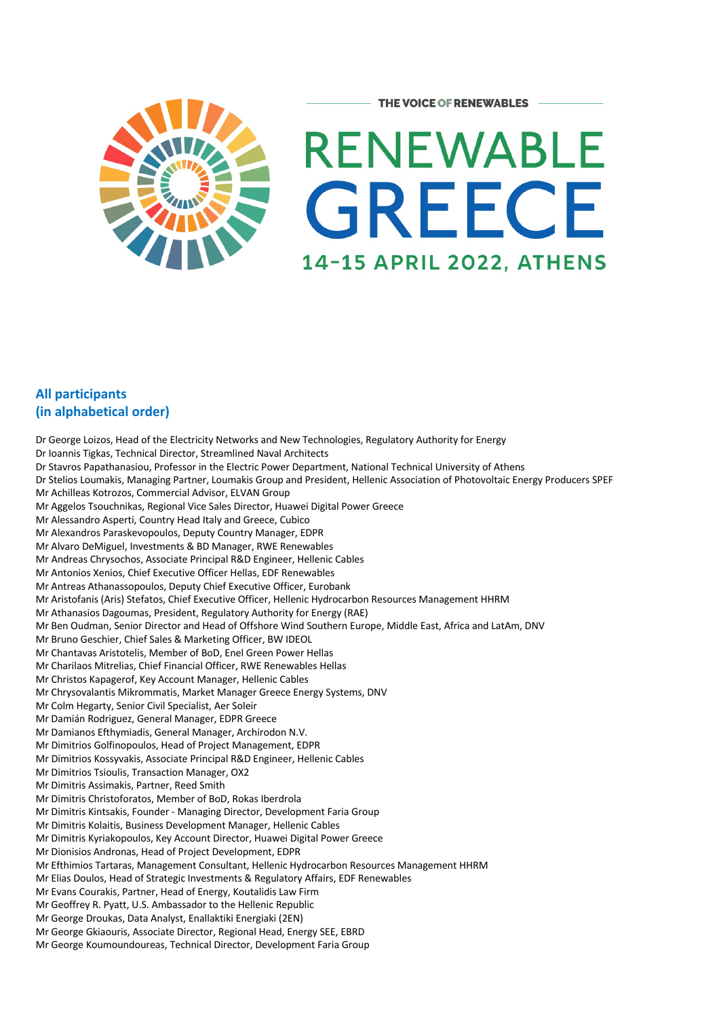

## **All participants (in alphabetical order)**

Dr George Loizos, Head of the Electricity Networks and New Technologies, Regulatory Authority for Energy Dr Ioannis Tigkas, Technical Director, Streamlined Naval Architects Dr Stavros Papathanasiou, Professor in the Electric Power Department, National Technical University of Athens Dr Stelios Loumakis, Managing Partner, Loumakis Group and President, Hellenic Association of Photovoltaic Energy Producers SPEF Mr Achilleas Kotrozos, Commercial Advisor, ELVAN Group Mr Aggelos Tsouchnikas, Regional Vice Sales Director, Huawei Digital Power Greece Mr Alessandro Asperti, Country Head Italy and Greece, Cubico Mr Alexandros Paraskevopoulos, Deputy Country Manager, EDPR Mr Alvaro DeMiguel, Investments & BD Manager, RWE Renewables Mr Andreas Chrysochos, Associate Principal R&D Engineer, Hellenic Cables Mr Antonios Xenios, Chief Executive Officer Hellas, EDF Renewables Mr Antreas Athanassopoulos, Deputy Chief Executive Officer, Eurobank Mr Aristofanis (Aris) Stefatos, Chief Executive Officer, Hellenic Hydrocarbon Resources Management HHRM Mr Athanasios Dagoumas, President, Regulatory Authority for Energy (RAE) Mr Ben Oudman, Senior Director and Head of Offshore Wind Southern Europe, Middle East, Africa and LatAm, DNV Mr Bruno Geschier, Chief Sales & Marketing Officer, BW IDEOL Mr Chantavas Aristotelis, Member of BoD, Enel Green Power Hellas Mr Charilaos Mitrelias, Chief Financial Officer, RWE Renewables Hellas Mr Christos Kapagerof, Key Account Manager, Hellenic Cables Mr Chrysovalantis Mikrommatis, Market Manager Greece Energy Systems, DNV Mr Colm Hegarty, Senior Civil Specialist, Aer Soleir Mr Damián Rodriguez, General Manager, EDPR Greece Mr Damianos Efthymiadis, General Manager, Archirodon N.V. Mr Dimitrios Golfinopoulos, Head of Project Management, EDPR Mr Dimitrios Kossyvakis, Associate Principal R&D Engineer, Hellenic Cables Mr Dimitrios Tsioulis, Transaction Manager, OX2 Mr Dimitris Assimakis, Partner, Reed Smith Mr Dimitris Christoforatos, Member of BoD, Rokas Iberdrola Mr Dimitris Kintsakis, Founder - Managing Director, Development Faria Group Mr Dimitris Kolaitis, Business Development Manager, Hellenic Cables Mr Dimitris Kyriakopoulos, Key Account Director, Huawei Digital Power Greece Mr Dionisios Andronas, Head of Project Development, EDPR Mr Efthimios Tartaras, Management Consultant, Hellenic Hydrocarbon Resources Management HHRM Mr Elias Doulos, Head of Strategic Investments & Regulatory Affairs, EDF Renewables Mr Evans Courakis, Partner, Head of Energy, Koutalidis Law Firm Mr Geoffrey R. Pyatt, U.S. Ambassador to the Hellenic Republic Mr George Droukas, Data Analyst, Enallaktiki Energiaki (2EN) Mr George Gkiaouris, Associate Director, Regional Head, Energy SEE, EBRD Mr George Koumoundoureas, Technical Director, Development Faria Group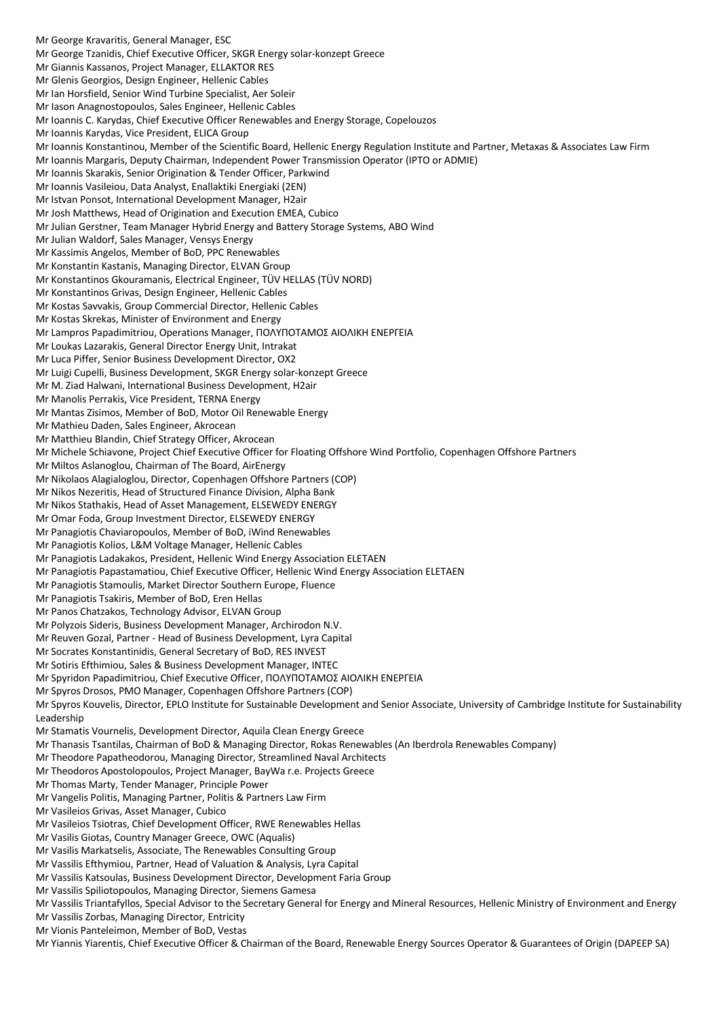Mr George Kravaritis, General Manager, ESC Mr George Tzanidis, Chief Executive Officer, SKGR Energy solar-konzept Greece Mr Giannis Kassanos, Project Manager, ELLAKTOR RES Mr Glenis Georgios, Design Engineer, Hellenic Cables Mr Ian Horsfield, Senior Wind Turbine Specialist, Aer Soleir Mr Iason Anagnostopoulos, Sales Engineer, Hellenic Cables Mr Ioannis C. Karydas, Chief Executive Officer Renewables and Energy Storage, Copelouzos Mr Ioannis Karydas, Vice President, ELICA Group Mr Ioannis Konstantinou, Member of the Scientific Board, Hellenic Energy Regulation Institute and Partner, Metaxas & Associates Law Firm Mr Ioannis Margaris, Deputy Chairman, Independent Power Transmission Operator (IPTO or ADMIE) Mr Ioannis Skarakis, Senior Origination & Tender Officer, Parkwind Mr Ioannis Vasileiou, Data Analyst, Enallaktiki Energiaki (2EN) Mr Istvan Ponsot, International Development Manager, H2air Mr Josh Matthews, Head of Origination and Execution EMEA, Cubico Mr Julian Gerstner, Team Manager Hybrid Energy and Battery Storage Systems, ABO Wind Mr Julian Waldorf, Sales Manager, Vensys Energy Mr Kassimis Angelos, Member of BoD, PPC Renewables Mr Konstantin Kastanis, Managing Director, ELVAN Group Mr Konstantinos Gkouramanis, Electrical Engineer, TÜV HELLAS (TÜV NORD) Mr Konstantinos Grivas, Design Engineer, Hellenic Cables Mr Kostas Savvakis, Group Commercial Director, Hellenic Cables Mr Kostas Skrekas, Minister of Environment and Energy Mr Lampros Papadimitriou, Operations Manager, ΠΟΛΥΠΟΤΑΜΟΣ ΑΙΟΛΙΚΗ ΕΝΕΡΓΕΙΑ Mr Loukas Lazarakis, General Director Energy Unit, Intrakat Mr Luca Piffer, Senior Business Development Director, OX2 Mr Luigi Cupelli, Business Development, SKGR Energy solar-konzept Greece Mr M. Ziad Halwani, International Business Development, H2air Mr Manolis Perrakis, Vice President, TERNA Energy Mr Mantas Zisimos, Member of BoD, Motor Oil Renewable Energy Mr Mathieu Daden, Sales Engineer, Akrocean Mr Matthieu Blandin, Chief Strategy Officer, Akrocean Mr Michele Schiavone, Project Chief Executive Officer for Floating Offshore Wind Portfolio, Copenhagen Offshore Partners Mr Miltos Aslanoglou, Chairman of The Board, AirEnergy Mr Nikolaos Alagialoglou, Director, Copenhagen Offshore Partners (COP) Mr Nikos Nezeritis, Head of Structured Finance Division, Alpha Bank Mr Nikos Stathakis, Head of Asset Management, ELSEWEDY ENERGY Mr Omar Foda, Group Investment Director, ELSEWEDY ENERGY Mr Panagiotis Chaviaropoulos, Member of BoD, iWind Renewables Mr Panagiotis Kolios, L&M Voltage Manager, Hellenic Cables Mr Panagiotis Ladakakos, President, Hellenic Wind Energy Association ELETAEN Mr Panagiotis Papastamatiou, Chief Executive Officer, Hellenic Wind Energy Association ELETAEN Mr Panagiotis Stamoulis, Market Director Southern Europe, Fluence Mr Panagiotis Tsakiris, Member of BoD, Eren Hellas Mr Panos Chatzakos, Technology Advisor, ELVAN Group Mr Polyzois Sideris, Business Development Manager, Archirodon N.V. Mr Reuven Gozal, Partner - Head of Business Development, Lyra Capital Mr Socrates Konstantinidis, General Secretary of BoD, RES INVEST Mr Sotiris Efthimiou, Sales & Business Development Manager, INTEC Mr Spyridon Papadimitriou, Chief Executive Officer, ΠΟΛΥΠΟΤΑΜΟΣ ΑΙΟΛΙΚΗ ΕΝΕΡΓΕΙΑ Mr Spyros Drosos, PMO Manager, Copenhagen Offshore Partners (COP) Mr Spyros Kouvelis, Director, EPLO Institute for Sustainable Development and Senior Associate, University of Cambridge Institute for Sustainability Leadership Mr Stamatis Vournelis, Development Director, Aquila Clean Energy Greece Mr Thanasis Tsantilas, Chairman of BoD & Managing Director, Rokas Renewables (An Iberdrola Renewables Company) Mr Theodore Papatheodorou, Managing Director, Streamlined Naval Architects Mr Theodoros Apostolopoulos, Project Manager, BayWa r.e. Projects Greece Mr Thomas Marty, Tender Manager, Principle Power Mr Vangelis Politis, Managing Partner, Politis & Partners Law Firm Mr Vasileios Grivas, Asset Manager, Cubico Mr Vasileios Tsiotras, Chief Development Officer, RWE Renewables Hellas Mr Vasilis Giotas, Country Manager Greece, OWC (Aqualis) Mr Vasilis Markatselis, Associate, The Renewables Consulting Group Mr Vassilis Efthymiou, Partner, Head of Valuation & Analysis, Lyra Capital Mr Vassilis Katsoulas, Business Development Director, Development Faria Group Mr Vassilis Spiliotopoulos, Managing Director, Siemens Gamesa Mr Vassilis Triantafyllos, Special Advisor to the Secretary General for Energy and Mineral Resources, Hellenic Ministry of Environment and Energy Mr Vassilis Zorbas, Managing Director, Entricity Mr Vionis Panteleimon, Member of BoD, Vestas Mr Yiannis Yiarentis, Chief Executive Officer & Chairman of the Board, Renewable Energy Sources Operator & Guarantees of Origin (DAPEEP SA)